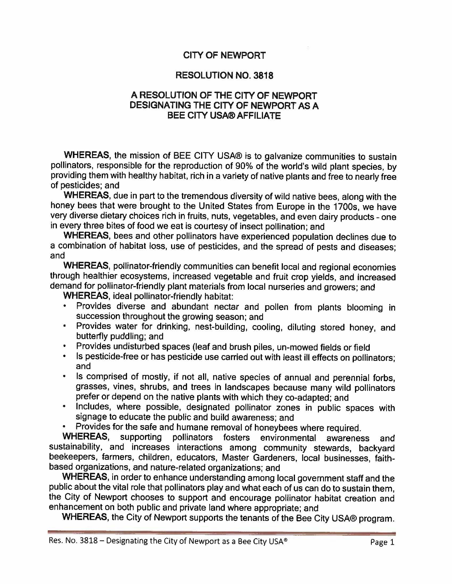### **CITY OF NEWPORT**

#### **RESOLUTION NO. 3818**

#### **A RESOLUTION OF THE CITY OF NEWPORT DESIGNATING THE CITY OF NEWPORT AS A BEE CITY USA® AFFILIATE**

**WHEREAS,** the mission of BEE CITY USA® is to galvanize communities to sustain pollinators, responsible for the reproduction of 90% of the world's wild plant species, by providing them with healthy habitat, rich in a variety of native plants and free to nearly free of pesticides; and

**WHEREAS,** due in part to the tremendous diversity of wild native bees, along with the honey bees that were brought to the United States from Europe in the 1700s, we have very diverse dietary choices rich in fruits, nuts, vegetables, and even dairy products - one in every three bites of food we eat is courtesy of insect pollination; and

**WHEREAS,** bees and other pollinators have experienced population declines due to a combination of habitat loss, use of pesticides, and the spread of pests and diseases; and

**WHEREAS,** pollinator-friendly communities can benefit local and regional economies through healthier ecosystems, increased vegetable and fruit crop yields, and increased demand for pollinator-friendly plant materials from local nurseries and growers; and

**WHEREAS,** ideal pollinator-friendly habitat:

- Provides diverse and abundant nectar and pollen from plants blooming in succession throughout the growing season; and
- Provides water for drinking, nest-building, cooling, diluting stored honey, and butterfly puddling; and
- Provides undisturbed spaces (leaf and brush piles, un-mowed fields or field
- Is pesticide-free or has pesticide use carried out with least ill effects on pollinators; and
- Is comprised of mostly, if not all, native species of annual and perennial forbs, grasses, vines, shrubs, and trees in landscapes because many wild pollinators prefer or depend on the native plants with which they co-adapted; and
- Includes, where possible, designated pollinator zones in public spaces with signage to educate the public and build awareness; and
- Provides for the safe and humane removal of honeybees where required.

**WHEREAS,** supporting pollinators fosters environmental awareness and sustainability, and increases interactions among community stewards, backyard beekeepers, farmers, children, educators, Master Gardeners, local businesses, faithbased organizations, and nature-related organizations; and

**WHEREAS,** in order to enhance understanding among local government staff and the public about the vital role that pollinators play and what each of us can do to sustain them, the City of Newport chooses to support and encourage pollinator habitat creation and enhancement on both public and private land where appropriate; and

**WHEREAS,** the City of Newport supports the tenants of the Bee City USA® program.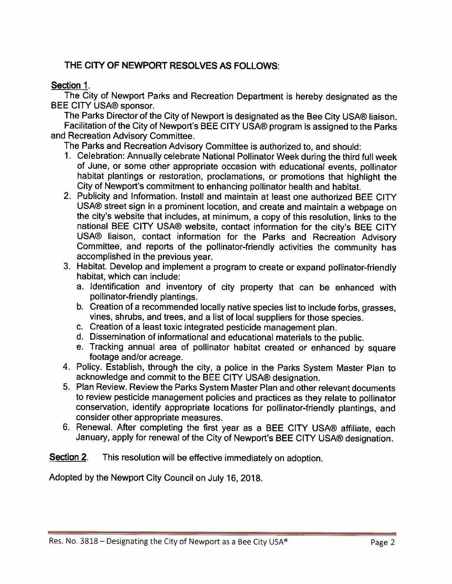# THE CITY OF NEWPORT RESOLVES AS FOLLOWS:

## **Section** 1.

The City of Newport Parks and Recreation Department is hereby designated as the BEE CITY USA® sponsor.

The Parks Director of the City of Newport is designated as the Bee City USA® liaison. Facilitation of the City of Newport's BEE CITY USA® program is assigned to the Parks and Recreation Advisory Committee.

The Parks and Recreation Advisory Committee is authorized to, and should:

- 1. Celebration: Annually celebrate National Pollinator Week during the third full week of June, or some other appropriate occasion with educational events, pollinator habitat plantings or restoration, proclamations, or promotions that highlight the City of Newport's commitment to enhancing pollinator health and habitat.
- 2. Publicity and Information. Install and maintain at least one authorized BEE CITY USA® street sign in a prominent location, and create and maintain a webpage on the city's website that includes, at minimum, a copy of this resolution, links to the national BEE CITY USA® website, contact information for the city's BEE CITY USA® liaison, contact information for the Parks and Recreation Advisory Committee, and reports of the pollinator-friendly activities the community has accomplished in the previous year.
- 3. Habitat. Develop and implement a program to create or expand pollinator-friendly habitat, which can include:
	- a. Identification and inventory of city property that can be enhanced with pollinator-friendly plantings.
	- b. Creation of a recommended locally native species list to include forbs, grasses, vines, shrubs, and trees, and a list of local suppliers for those species.
	- c. Creation of a least toxic integrated pesticide management plan.
	- d. Dissemination of informational and educational materials to the public.
	- e. Tracking annual area of pollinator habitat created or enhanced by square footage and/or acreage.
- 4. Policy. Establish, through the city, a police in the Parks System Master Plan to acknowledge and commit to the BEE CITY USA® designation.
- 5. Plan Review. Review the Parks System Master Plan and other relevant documents to review pesticide management policies and practices as they relate to pollinator conservation, identify appropriate locations for pollinator-friendly plantings, and consider other appropriate measures.
- 6. Renewal. After completing the first year as a BEE CITY USA® affiliate, each January, apply for renewal of the City of Newport's BEE CITY USA® designation.

**Section 2.** This resolution will be effective immediately on adoption.

Adopted by the Newport City Council on July 16, 2018.